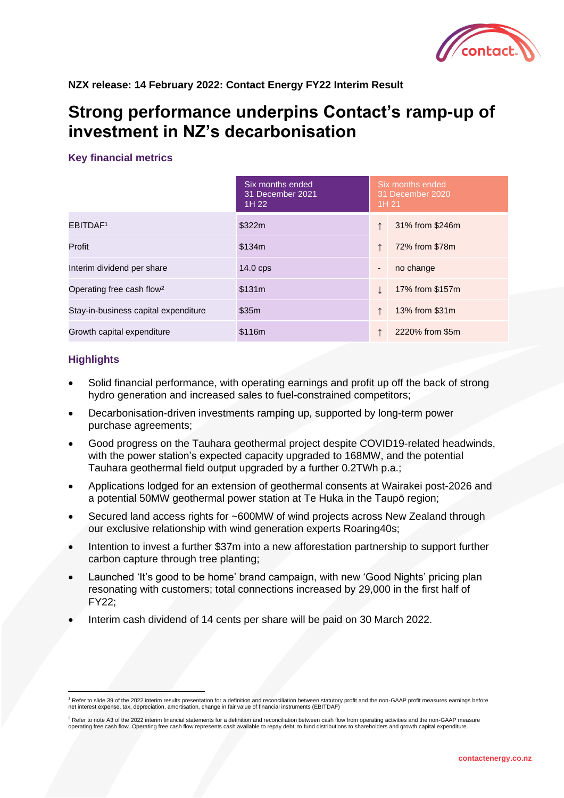

**NZX release: 14 February 2022: Contact Energy FY22 Interim Result**

# **Strong performance underpins Contact's ramp-up of investment in NZ's decarbonisation**

### **Key financial metrics**

|                                       | Six months ended<br>31 December 2021<br>1H 22 | Six months ended<br>31 December 2020<br>1H 21 |                 |
|---------------------------------------|-----------------------------------------------|-----------------------------------------------|-----------------|
| EBITDAF <sup>1</sup>                  | \$322m                                        |                                               | 31% from \$246m |
| Profit                                | \$134m                                        |                                               | 72% from \$78m  |
| Interim dividend per share            | $14.0$ cps                                    | $\overline{a}$                                | no change       |
| Operating free cash flow <sup>2</sup> | \$131m                                        |                                               | 17% from \$157m |
| Stay-in-business capital expenditure  | \$35m                                         |                                               | 13% from \$31m  |
| Growth capital expenditure            | \$116m                                        |                                               | 2220% from \$5m |

# **Highlights**

- Solid financial performance, with operating earnings and profit up off the back of strong hydro generation and increased sales to fuel-constrained competitors;
- Decarbonisation-driven investments ramping up, supported by long-term power purchase agreements;
- Good progress on the Tauhara geothermal project despite COVID19-related headwinds, with the power station's expected capacity upgraded to 168MW, and the potential Tauhara geothermal field output upgraded by a further 0.2TWh p.a.;
- Applications lodged for an extension of geothermal consents at Wairakei post-2026 and a potential 50MW geothermal power station at Te Huka in the Taupō region;
- Secured land access rights for ~600MW of wind projects across New Zealand through our exclusive relationship with wind generation experts Roaring40s;
- Intention to invest a further \$37m into a new afforestation partnership to support further carbon capture through tree planting;
- Launched 'It's good to be home' brand campaign, with new 'Good Nights' pricing plan resonating with customers; total connections increased by 29,000 in the first half of FY22;
- Interim cash dividend of 14 cents per share will be paid on 30 March 2022.

<sup>&</sup>lt;sup>1</sup> Refer to slide 39 of the 2022 interim results presentation for a definition and reconciliation between statutory profit and the non-GAAP profit measures earnings before net interest expense, tax, depreciation, amortisation, change in fair value of financial instruments (EBITDAF)

<sup>&</sup>lt;sup>2</sup> Refer to note A3 of the 2022 interim financial statements for a definition and reconciliation between cash flow from operating activities and the non-GAAP measure<br>operating free cash flow. Operating free cash flow repr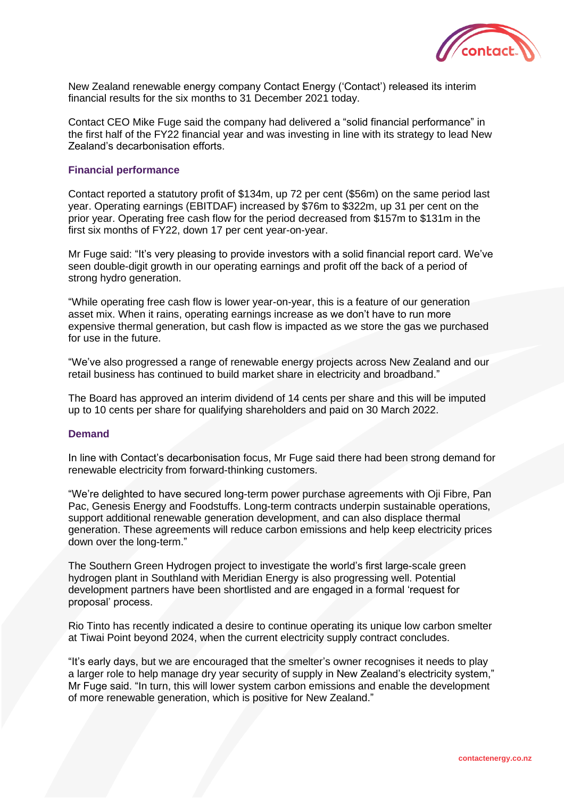

New Zealand renewable energy company Contact Energy ('Contact') released its interim financial results for the six months to 31 December 2021 today.

Contact CEO Mike Fuge said the company had delivered a "solid financial performance" in the first half of the FY22 financial year and was investing in line with its strategy to lead New Zealand's decarbonisation efforts.

#### **Financial performance**

Contact reported a statutory profit of \$134m, up 72 per cent (\$56m) on the same period last year. Operating earnings (EBITDAF) increased by \$76m to \$322m, up 31 per cent on the prior year. Operating free cash flow for the period decreased from \$157m to \$131m in the first six months of FY22, down 17 per cent year-on-year.

Mr Fuge said: "It's very pleasing to provide investors with a solid financial report card. We've seen double-digit growth in our operating earnings and profit off the back of a period of strong hydro generation.

"While operating free cash flow is lower year-on-year, this is a feature of our generation asset mix. When it rains, operating earnings increase as we don't have to run more expensive thermal generation, but cash flow is impacted as we store the gas we purchased for use in the future.

"We've also progressed a range of renewable energy projects across New Zealand and our retail business has continued to build market share in electricity and broadband."

The Board has approved an interim dividend of 14 cents per share and this will be imputed up to 10 cents per share for qualifying shareholders and paid on 30 March 2022.

#### **Demand**

In line with Contact's decarbonisation focus, Mr Fuge said there had been strong demand for renewable electricity from forward-thinking customers.

"We're delighted to have secured long-term power purchase agreements with Oji Fibre, Pan Pac, Genesis Energy and Foodstuffs. Long-term contracts underpin sustainable operations, support additional renewable generation development, and can also displace thermal generation. These agreements will reduce carbon emissions and help keep electricity prices down over the long-term."

The Southern Green Hydrogen project to investigate the world's first large-scale green hydrogen plant in Southland with Meridian Energy is also progressing well. Potential development partners have been shortlisted and are engaged in a formal 'request for proposal' process.

Rio Tinto has recently indicated a desire to continue operating its unique low carbon smelter at Tiwai Point beyond 2024, when the current electricity supply contract concludes.

"It's early days, but we are encouraged that the smelter's owner recognises it needs to play a larger role to help manage dry year security of supply in New Zealand's electricity system," Mr Fuge said. "In turn, this will lower system carbon emissions and enable the development of more renewable generation, which is positive for New Zealand."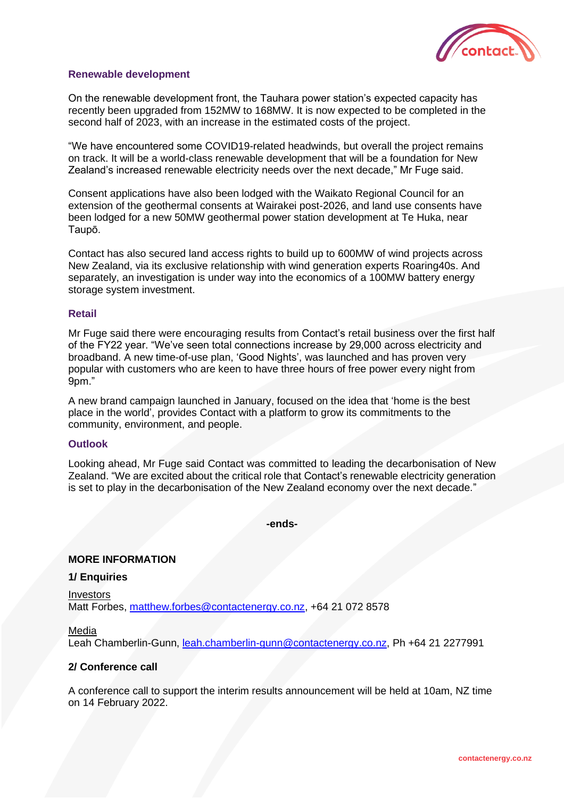

#### **Renewable development**

On the renewable development front, the Tauhara power station's expected capacity has recently been upgraded from 152MW to 168MW. It is now expected to be completed in the second half of 2023, with an increase in the estimated costs of the project.

"We have encountered some COVID19-related headwinds, but overall the project remains on track. It will be a world-class renewable development that will be a foundation for New Zealand's increased renewable electricity needs over the next decade," Mr Fuge said.

Consent applications have also been lodged with the Waikato Regional Council for an extension of the geothermal consents at Wairakei post-2026, and land use consents have been lodged for a new 50MW geothermal power station development at Te Huka, near Taupō.

Contact has also secured land access rights to build up to 600MW of wind projects across New Zealand, via its exclusive relationship with wind generation experts Roaring40s. And separately, an investigation is under way into the economics of a 100MW battery energy storage system investment.

#### **Retail**

Mr Fuge said there were encouraging results from Contact's retail business over the first half of the FY22 year. "We've seen total connections increase by 29,000 across electricity and broadband. A new time-of-use plan, 'Good Nights', was launched and has proven very popular with customers who are keen to have three hours of free power every night from 9pm."

A new brand campaign launched in January, focused on the idea that 'home is the best place in the world', provides Contact with a platform to grow its commitments to the community, environment, and people.

#### **Outlook**

Looking ahead, Mr Fuge said Contact was committed to leading the decarbonisation of New Zealand. "We are excited about the critical role that Contact's renewable electricity generation is set to play in the decarbonisation of the New Zealand economy over the next decade."

**-ends-**

#### **MORE INFORMATION**

#### **1/ Enquiries**

Investors Matt Forbes, [matthew.forbes@contactenergy.co.nz,](file:///C:/Users/CDG/AppData/Local/Microsoft/Windows/INetCache/Content.Outlook/UZ8A03KW/matthew.forbes@contactenergy.co.nz) +64 21 072 8578

Media

Leah Chamberlin-Gunn, [leah.chamberlin-gunn@contactenergy.co.nz,](mailto:leah.chamberlin-gunn@contactenergy.co.nz) Ph +64 21 2277991

## **2/ Conference call**

A conference call to support the interim results announcement will be held at 10am, NZ time on 14 February 2022.